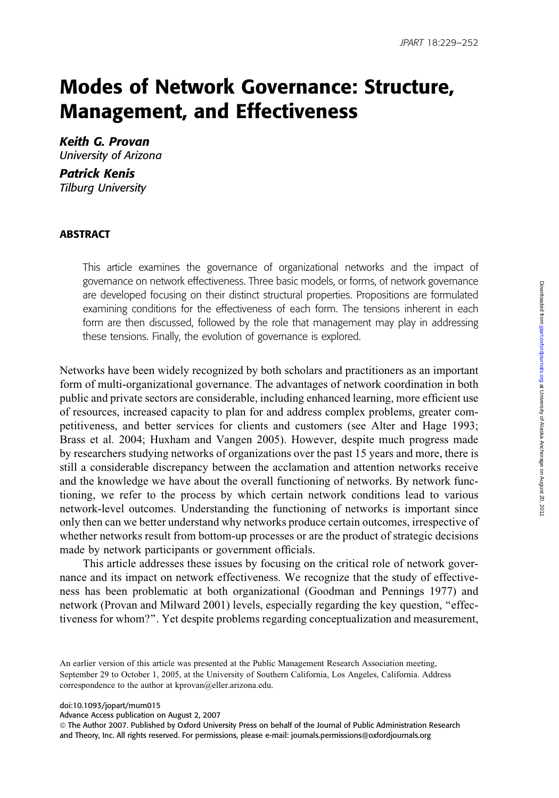# Modes of Network Governance: Structure, Management, and Effectiveness

Keith G. Provan University of Arizona

Patrick Kenis Tilburg University

## **ABSTRACT**

This article examines the governance of organizational networks and the impact of governance on network effectiveness. Three basic models, or forms, of network governance are developed focusing on their distinct structural properties. Propositions are formulated examining conditions for the effectiveness of each form. The tensions inherent in each form are then discussed, followed by the role that management may play in addressing these tensions. Finally, the evolution of governance is explored.

Networks have been widely recognized by both scholars and practitioners as an important form of multi-organizational governance. The advantages of network coordination in both public and private sectors are considerable, including enhanced learning, more efficient use of resources, increased capacity to plan for and address complex problems, greater competitiveness, and better services for clients and customers (see Alter and Hage 1993; Brass et al. 2004; Huxham and Vangen 2005). However, despite much progress made by researchers studying networks of organizations over the past 15 years and more, there is still a considerable discrepancy between the acclamation and attention networks receive and the knowledge we have about the overall functioning of networks. By network functioning, we refer to the process by which certain network conditions lead to various network-level outcomes. Understanding the functioning of networks is important since only then can we better understand why networks produce certain outcomes, irrespective of whether networks result from bottom-up processes or are the product of strategic decisions made by network participants or government officials.

This article addresses these issues by focusing on the critical role of network governance and its impact on network effectiveness. We recognize that the study of effectiveness has been problematic at both organizational (Goodman and Pennings 1977) and network (Provan and Milward 2001) levels, especially regarding the key question, ''effectiveness for whom?''. Yet despite problems regarding conceptualization and measurement,

doi:10.1093/jopart/mum015

Advance Access publication on August 2, 2007

*ª* The Author 2007. Published by Oxford University Press on behalf of the Journal of Public Administration Research and Theory, Inc. All rights reserved. For permissions, please e-mail: journals.permissions@oxfordjournals.org

An earlier version of this article was presented at the Public Management Research Association meeting, September 29 to October 1, 2005, at the University of Southern California, Los Angeles, California. Address correspondence to the author at kprovan@eller.arizona.edu.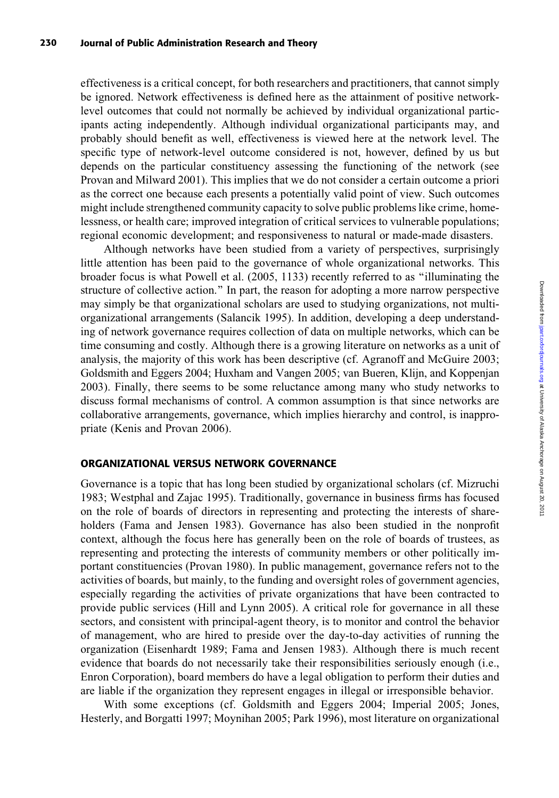effectiveness is a critical concept, for both researchers and practitioners, that cannot simply be ignored. Network effectiveness is defined here as the attainment of positive networklevel outcomes that could not normally be achieved by individual organizational participants acting independently. Although individual organizational participants may, and probably should benefit as well, effectiveness is viewed here at the network level. The specific type of network-level outcome considered is not, however, defined by us but depends on the particular constituency assessing the functioning of the network (see Provan and Milward 2001). This implies that we do not consider a certain outcome a priori as the correct one because each presents a potentially valid point of view. Such outcomes might include strengthened community capacity to solve public problems like crime, homelessness, or health care; improved integration of critical services to vulnerable populations; regional economic development; and responsiveness to natural or made-made disasters.

Although networks have been studied from a variety of perspectives, surprisingly little attention has been paid to the governance of whole organizational networks. This broader focus is what Powell et al. (2005, 1133) recently referred to as ''illuminating the structure of collective action.'' In part, the reason for adopting a more narrow perspective may simply be that organizational scholars are used to studying organizations, not multiorganizational arrangements (Salancik 1995). In addition, developing a deep understanding of network governance requires collection of data on multiple networks, which can be time consuming and costly. Although there is a growing literature on networks as a unit of analysis, the majority of this work has been descriptive (cf. Agranoff and McGuire 2003; Goldsmith and Eggers 2004; Huxham and Vangen 2005; van Bueren, Klijn, and Koppenjan 2003). Finally, there seems to be some reluctance among many who study networks to discuss formal mechanisms of control. A common assumption is that since networks are collaborative arrangements, governance, which implies hierarchy and control, is inappropriate (Kenis and Provan 2006).

## ORGANIZATIONAL VERSUS NETWORK GOVERNANCE

Governance is a topic that has long been studied by organizational scholars (cf. Mizruchi 1983; Westphal and Zajac 1995). Traditionally, governance in business firms has focused on the role of boards of directors in representing and protecting the interests of shareholders (Fama and Jensen 1983). Governance has also been studied in the nonprofit context, although the focus here has generally been on the role of boards of trustees, as representing and protecting the interests of community members or other politically important constituencies (Provan 1980). In public management, governance refers not to the activities of boards, but mainly, to the funding and oversight roles of government agencies, especially regarding the activities of private organizations that have been contracted to provide public services (Hill and Lynn 2005). A critical role for governance in all these sectors, and consistent with principal-agent theory, is to monitor and control the behavior of management, who are hired to preside over the day-to-day activities of running the organization (Eisenhardt 1989; Fama and Jensen 1983). Although there is much recent evidence that boards do not necessarily take their responsibilities seriously enough (i.e., Enron Corporation), board members do have a legal obligation to perform their duties and are liable if the organization they represent engages in illegal or irresponsible behavior.

With some exceptions (cf. Goldsmith and Eggers 2004; Imperial 2005; Jones, Hesterly, and Borgatti 1997; Moynihan 2005; Park 1996), most literature on organizational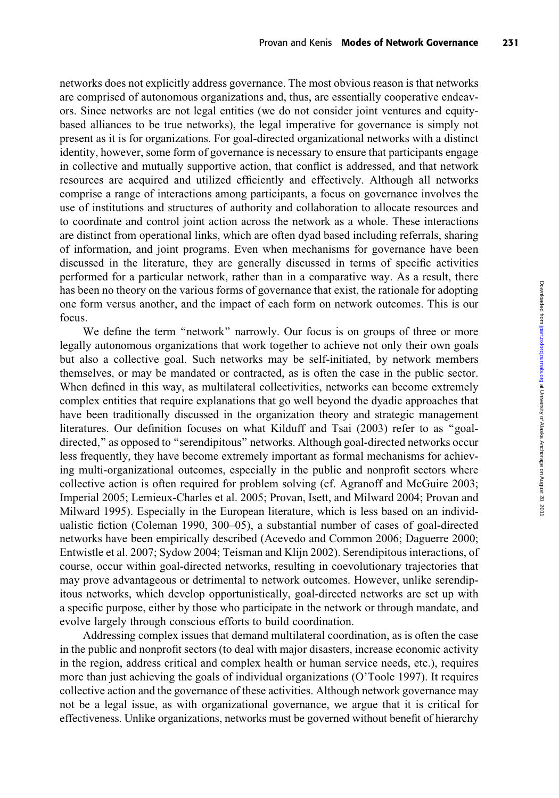networks does not explicitly address governance. The most obvious reason is that networks are comprised of autonomous organizations and, thus, are essentially cooperative endeavors. Since networks are not legal entities (we do not consider joint ventures and equitybased alliances to be true networks), the legal imperative for governance is simply not present as it is for organizations. For goal-directed organizational networks with a distinct identity, however, some form of governance is necessary to ensure that participants engage in collective and mutually supportive action, that conflict is addressed, and that network resources are acquired and utilized efficiently and effectively. Although all networks comprise a range of interactions among participants, a focus on governance involves the use of institutions and structures of authority and collaboration to allocate resources and to coordinate and control joint action across the network as a whole. These interactions are distinct from operational links, which are often dyad based including referrals, sharing of information, and joint programs. Even when mechanisms for governance have been discussed in the literature, they are generally discussed in terms of specific activities performed for a particular network, rather than in a comparative way. As a result, there has been no theory on the various forms of governance that exist, the rationale for adopting one form versus another, and the impact of each form on network outcomes. This is our focus.

We define the term "network" narrowly. Our focus is on groups of three or more legally autonomous organizations that work together to achieve not only their own goals but also a collective goal. Such networks may be self-initiated, by network members themselves, or may be mandated or contracted, as is often the case in the public sector. When defined in this way, as multilateral collectivities, networks can become extremely complex entities that require explanations that go well beyond the dyadic approaches that have been traditionally discussed in the organization theory and strategic management literatures. Our definition focuses on what Kilduff and Tsai (2003) refer to as ''goaldirected,'' as opposed to ''serendipitous'' networks. Although goal-directed networks occur less frequently, they have become extremely important as formal mechanisms for achieving multi-organizational outcomes, especially in the public and nonprofit sectors where collective action is often required for problem solving (cf. Agranoff and McGuire 2003; Imperial 2005; Lemieux-Charles et al. 2005; Provan, Isett, and Milward 2004; Provan and Milward 1995). Especially in the European literature, which is less based on an individualistic fiction (Coleman 1990, 300–05), a substantial number of cases of goal-directed networks have been empirically described (Acevedo and Common 2006; Daguerre 2000; Entwistle et al. 2007; Sydow 2004; Teisman and Klijn 2002). Serendipitous interactions, of course, occur within goal-directed networks, resulting in coevolutionary trajectories that may prove advantageous or detrimental to network outcomes. However, unlike serendipitous networks, which develop opportunistically, goal-directed networks are set up with a specific purpose, either by those who participate in the network or through mandate, and evolve largely through conscious efforts to build coordination.

Addressing complex issues that demand multilateral coordination, as is often the case in the public and nonprofit sectors (to deal with major disasters, increase economic activity in the region, address critical and complex health or human service needs, etc.), requires more than just achieving the goals of individual organizations (O'Toole 1997). It requires collective action and the governance of these activities. Although network governance may not be a legal issue, as with organizational governance, we argue that it is critical for effectiveness. Unlike organizations, networks must be governed without benefit of hierarchy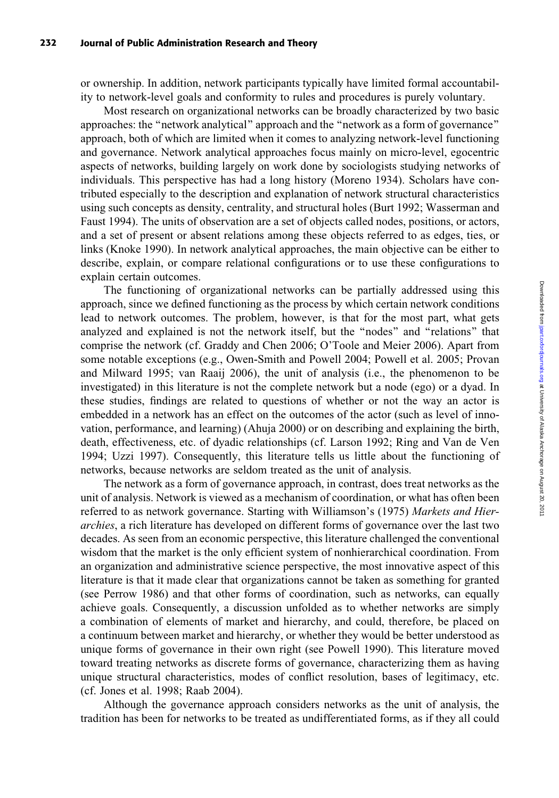or ownership. In addition, network participants typically have limited formal accountability to network-level goals and conformity to rules and procedures is purely voluntary.

Most research on organizational networks can be broadly characterized by two basic approaches: the ''network analytical'' approach and the ''network as a form of governance'' approach, both of which are limited when it comes to analyzing network-level functioning and governance. Network analytical approaches focus mainly on micro-level, egocentric aspects of networks, building largely on work done by sociologists studying networks of individuals. This perspective has had a long history (Moreno 1934). Scholars have contributed especially to the description and explanation of network structural characteristics using such concepts as density, centrality, and structural holes (Burt 1992; Wasserman and Faust 1994). The units of observation are a set of objects called nodes, positions, or actors, and a set of present or absent relations among these objects referred to as edges, ties, or links (Knoke 1990). In network analytical approaches, the main objective can be either to describe, explain, or compare relational configurations or to use these configurations to explain certain outcomes.

The functioning of organizational networks can be partially addressed using this approach, since we defined functioning as the process by which certain network conditions lead to network outcomes. The problem, however, is that for the most part, what gets analyzed and explained is not the network itself, but the ''nodes'' and ''relations'' that comprise the network (cf. Graddy and Chen 2006; O'Toole and Meier 2006). Apart from some notable exceptions (e.g., Owen-Smith and Powell 2004; Powell et al. 2005; Provan and Milward 1995; van Raaij 2006), the unit of analysis (i.e., the phenomenon to be investigated) in this literature is not the complete network but a node (ego) or a dyad. In these studies, findings are related to questions of whether or not the way an actor is embedded in a network has an effect on the outcomes of the actor (such as level of innovation, performance, and learning) (Ahuja 2000) or on describing and explaining the birth, death, effectiveness, etc. of dyadic relationships (cf. Larson 1992; Ring and Van de Ven 1994; Uzzi 1997). Consequently, this literature tells us little about the functioning of networks, because networks are seldom treated as the unit of analysis.

The network as a form of governance approach, in contrast, does treat networks as the unit of analysis. Network is viewed as a mechanism of coordination, or what has often been referred to as network governance. Starting with Williamson's (1975) Markets and Hierarchies, a rich literature has developed on different forms of governance over the last two decades. As seen from an economic perspective, this literature challenged the conventional wisdom that the market is the only efficient system of nonhierarchical coordination. From an organization and administrative science perspective, the most innovative aspect of this literature is that it made clear that organizations cannot be taken as something for granted (see Perrow 1986) and that other forms of coordination, such as networks, can equally achieve goals. Consequently, a discussion unfolded as to whether networks are simply a combination of elements of market and hierarchy, and could, therefore, be placed on a continuum between market and hierarchy, or whether they would be better understood as unique forms of governance in their own right (see Powell 1990). This literature moved toward treating networks as discrete forms of governance, characterizing them as having unique structural characteristics, modes of conflict resolution, bases of legitimacy, etc. (cf. Jones et al. 1998; Raab 2004).

Although the governance approach considers networks as the unit of analysis, the tradition has been for networks to be treated as undifferentiated forms, as if they all could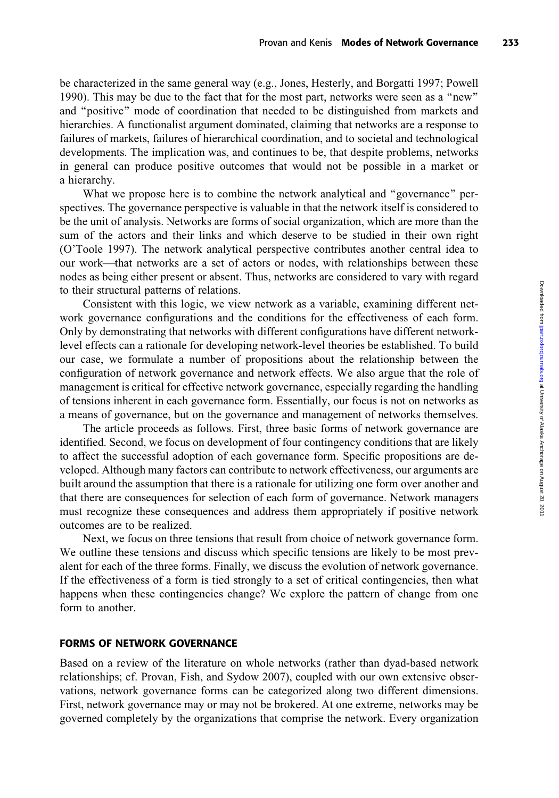be characterized in the same general way (e.g., Jones, Hesterly, and Borgatti 1997; Powell 1990). This may be due to the fact that for the most part, networks were seen as a ''new'' and ''positive'' mode of coordination that needed to be distinguished from markets and hierarchies. A functionalist argument dominated, claiming that networks are a response to failures of markets, failures of hierarchical coordination, and to societal and technological developments. The implication was, and continues to be, that despite problems, networks in general can produce positive outcomes that would not be possible in a market or a hierarchy.

What we propose here is to combine the network analytical and ''governance'' perspectives. The governance perspective is valuable in that the network itself is considered to be the unit of analysis. Networks are forms of social organization, which are more than the sum of the actors and their links and which deserve to be studied in their own right (O'Toole 1997). The network analytical perspective contributes another central idea to our work—that networks are a set of actors or nodes, with relationships between these nodes as being either present or absent. Thus, networks are considered to vary with regard to their structural patterns of relations.

Consistent with this logic, we view network as a variable, examining different network governance configurations and the conditions for the effectiveness of each form. Only by demonstrating that networks with different configurations have different networklevel effects can a rationale for developing network-level theories be established. To build our case, we formulate a number of propositions about the relationship between the configuration of network governance and network effects. We also argue that the role of management is critical for effective network governance, especially regarding the handling of tensions inherent in each governance form. Essentially, our focus is not on networks as a means of governance, but on the governance and management of networks themselves.

The article proceeds as follows. First, three basic forms of network governance are identified. Second, we focus on development of four contingency conditions that are likely to affect the successful adoption of each governance form. Specific propositions are developed. Although many factors can contribute to network effectiveness, our arguments are built around the assumption that there is a rationale for utilizing one form over another and that there are consequences for selection of each form of governance. Network managers must recognize these consequences and address them appropriately if positive network outcomes are to be realized.

Next, we focus on three tensions that result from choice of network governance form. We outline these tensions and discuss which specific tensions are likely to be most prevalent for each of the three forms. Finally, we discuss the evolution of network governance. If the effectiveness of a form is tied strongly to a set of critical contingencies, then what happens when these contingencies change? We explore the pattern of change from one form to another.

#### FORMS OF NETWORK GOVERNANCE

Based on a review of the literature on whole networks (rather than dyad-based network relationships; cf. Provan, Fish, and Sydow 2007), coupled with our own extensive observations, network governance forms can be categorized along two different dimensions. First, network governance may or may not be brokered. At one extreme, networks may be governed completely by the organizations that comprise the network. Every organization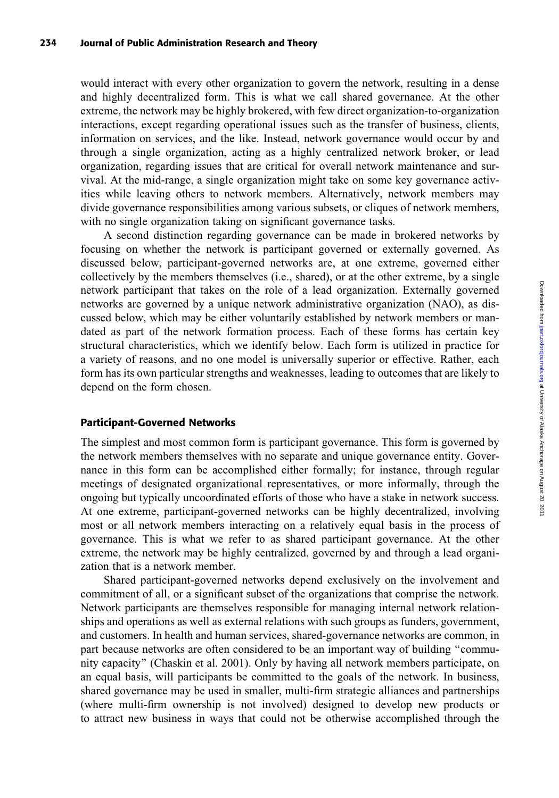would interact with every other organization to govern the network, resulting in a dense and highly decentralized form. This is what we call shared governance. At the other extreme, the network may be highly brokered, with few direct organization-to-organization interactions, except regarding operational issues such as the transfer of business, clients, information on services, and the like. Instead, network governance would occur by and through a single organization, acting as a highly centralized network broker, or lead organization, regarding issues that are critical for overall network maintenance and survival. At the mid-range, a single organization might take on some key governance activities while leaving others to network members. Alternatively, network members may divide governance responsibilities among various subsets, or cliques of network members, with no single organization taking on significant governance tasks.

A second distinction regarding governance can be made in brokered networks by focusing on whether the network is participant governed or externally governed. As discussed below, participant-governed networks are, at one extreme, governed either collectively by the members themselves (i.e., shared), or at the other extreme, by a single network participant that takes on the role of a lead organization. Externally governed networks are governed by a unique network administrative organization (NAO), as discussed below, which may be either voluntarily established by network members or mandated as part of the network formation process. Each of these forms has certain key structural characteristics, which we identify below. Each form is utilized in practice for a variety of reasons, and no one model is universally superior or effective. Rather, each form has its own particular strengths and weaknesses, leading to outcomes that are likely to depend on the form chosen.

# Participant-Governed Networks

The simplest and most common form is participant governance. This form is governed by the network members themselves with no separate and unique governance entity. Governance in this form can be accomplished either formally; for instance, through regular meetings of designated organizational representatives, or more informally, through the ongoing but typically uncoordinated efforts of those who have a stake in network success. At one extreme, participant-governed networks can be highly decentralized, involving most or all network members interacting on a relatively equal basis in the process of governance. This is what we refer to as shared participant governance. At the other extreme, the network may be highly centralized, governed by and through a lead organization that is a network member.

Shared participant-governed networks depend exclusively on the involvement and commitment of all, or a significant subset of the organizations that comprise the network. Network participants are themselves responsible for managing internal network relationships and operations as well as external relations with such groups as funders, government, and customers. In health and human services, shared-governance networks are common, in part because networks are often considered to be an important way of building ''community capacity'' (Chaskin et al. 2001). Only by having all network members participate, on an equal basis, will participants be committed to the goals of the network. In business, shared governance may be used in smaller, multi-firm strategic alliances and partnerships (where multi-firm ownership is not involved) designed to develop new products or to attract new business in ways that could not be otherwise accomplished through the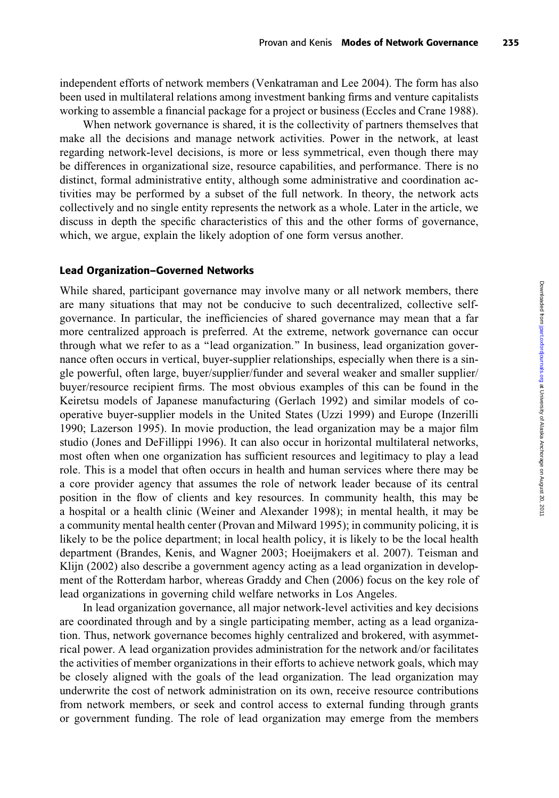independent efforts of network members (Venkatraman and Lee 2004). The form has also been used in multilateral relations among investment banking firms and venture capitalists working to assemble a financial package for a project or business (Eccles and Crane 1988).

When network governance is shared, it is the collectivity of partners themselves that make all the decisions and manage network activities. Power in the network, at least regarding network-level decisions, is more or less symmetrical, even though there may be differences in organizational size, resource capabilities, and performance. There is no distinct, formal administrative entity, although some administrative and coordination activities may be performed by a subset of the full network. In theory, the network acts collectively and no single entity represents the network as a whole. Later in the article, we discuss in depth the specific characteristics of this and the other forms of governance, which, we argue, explain the likely adoption of one form versus another.

#### Lead Organization–Governed Networks

While shared, participant governance may involve many or all network members, there are many situations that may not be conducive to such decentralized, collective selfgovernance. In particular, the inefficiencies of shared governance may mean that a far more centralized approach is preferred. At the extreme, network governance can occur through what we refer to as a ''lead organization.'' In business, lead organization governance often occurs in vertical, buyer-supplier relationships, especially when there is a single powerful, often large, buyer/supplier/funder and several weaker and smaller supplier/ buyer/resource recipient firms. The most obvious examples of this can be found in the Keiretsu models of Japanese manufacturing (Gerlach 1992) and similar models of cooperative buyer-supplier models in the United States (Uzzi 1999) and Europe (Inzerilli 1990; Lazerson 1995). In movie production, the lead organization may be a major film studio (Jones and DeFillippi 1996). It can also occur in horizontal multilateral networks, most often when one organization has sufficient resources and legitimacy to play a lead role. This is a model that often occurs in health and human services where there may be a core provider agency that assumes the role of network leader because of its central position in the flow of clients and key resources. In community health, this may be a hospital or a health clinic (Weiner and Alexander 1998); in mental health, it may be a community mental health center (Provan and Milward 1995); in community policing, it is likely to be the police department; in local health policy, it is likely to be the local health department (Brandes, Kenis, and Wagner 2003; Hoeijmakers et al. 2007). Teisman and Klijn (2002) also describe a government agency acting as a lead organization in development of the Rotterdam harbor, whereas Graddy and Chen (2006) focus on the key role of lead organizations in governing child welfare networks in Los Angeles.

In lead organization governance, all major network-level activities and key decisions are coordinated through and by a single participating member, acting as a lead organization. Thus, network governance becomes highly centralized and brokered, with asymmetrical power. A lead organization provides administration for the network and/or facilitates the activities of member organizations in their efforts to achieve network goals, which may be closely aligned with the goals of the lead organization. The lead organization may underwrite the cost of network administration on its own, receive resource contributions from network members, or seek and control access to external funding through grants or government funding. The role of lead organization may emerge from the members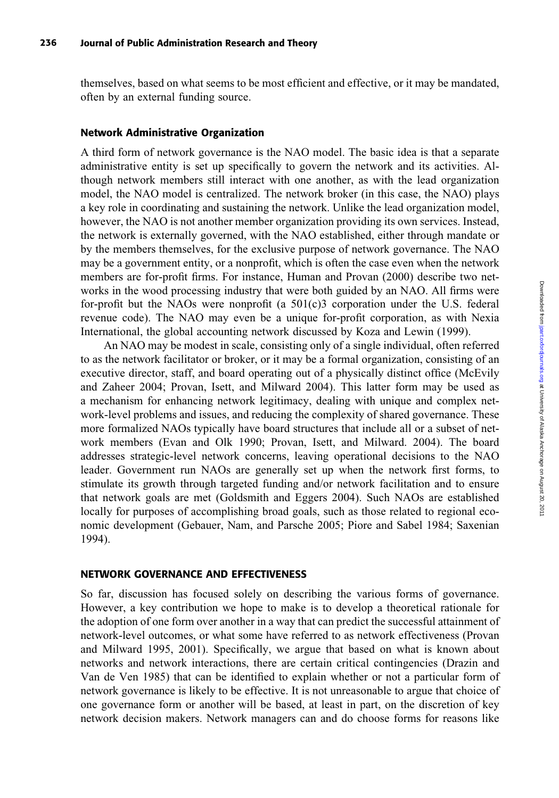themselves, based on what seems to be most efficient and effective, or it may be mandated, often by an external funding source.

#### Network Administrative Organization

A third form of network governance is the NAO model. The basic idea is that a separate administrative entity is set up specifically to govern the network and its activities. Although network members still interact with one another, as with the lead organization model, the NAO model is centralized. The network broker (in this case, the NAO) plays a key role in coordinating and sustaining the network. Unlike the lead organization model, however, the NAO is not another member organization providing its own services. Instead, the network is externally governed, with the NAO established, either through mandate or by the members themselves, for the exclusive purpose of network governance. The NAO may be a government entity, or a nonprofit, which is often the case even when the network members are for-profit firms. For instance, Human and Provan (2000) describe two networks in the wood processing industry that were both guided by an NAO. All firms were for-profit but the NAOs were nonprofit (a 501(c)3 corporation under the U.S. federal revenue code). The NAO may even be a unique for-profit corporation, as with Nexia International, the global accounting network discussed by Koza and Lewin (1999).

An NAO may be modest in scale, consisting only of a single individual, often referred to as the network facilitator or broker, or it may be a formal organization, consisting of an executive director, staff, and board operating out of a physically distinct office (McEvily and Zaheer 2004; Provan, Isett, and Milward 2004). This latter form may be used as a mechanism for enhancing network legitimacy, dealing with unique and complex network-level problems and issues, and reducing the complexity of shared governance. These more formalized NAOs typically have board structures that include all or a subset of network members (Evan and Olk 1990; Provan, Isett, and Milward. 2004). The board addresses strategic-level network concerns, leaving operational decisions to the NAO leader. Government run NAOs are generally set up when the network first forms, to stimulate its growth through targeted funding and/or network facilitation and to ensure that network goals are met (Goldsmith and Eggers 2004). Such NAOs are established locally for purposes of accomplishing broad goals, such as those related to regional economic development (Gebauer, Nam, and Parsche 2005; Piore and Sabel 1984; Saxenian 1994).

### NETWORK GOVERNANCE AND EFFECTIVENESS

So far, discussion has focused solely on describing the various forms of governance. However, a key contribution we hope to make is to develop a theoretical rationale for the adoption of one form over another in a way that can predict the successful attainment of network-level outcomes, or what some have referred to as network effectiveness (Provan and Milward 1995, 2001). Specifically, we argue that based on what is known about networks and network interactions, there are certain critical contingencies (Drazin and Van de Ven 1985) that can be identified to explain whether or not a particular form of network governance is likely to be effective. It is not unreasonable to argue that choice of one governance form or another will be based, at least in part, on the discretion of key network decision makers. Network managers can and do choose forms for reasons like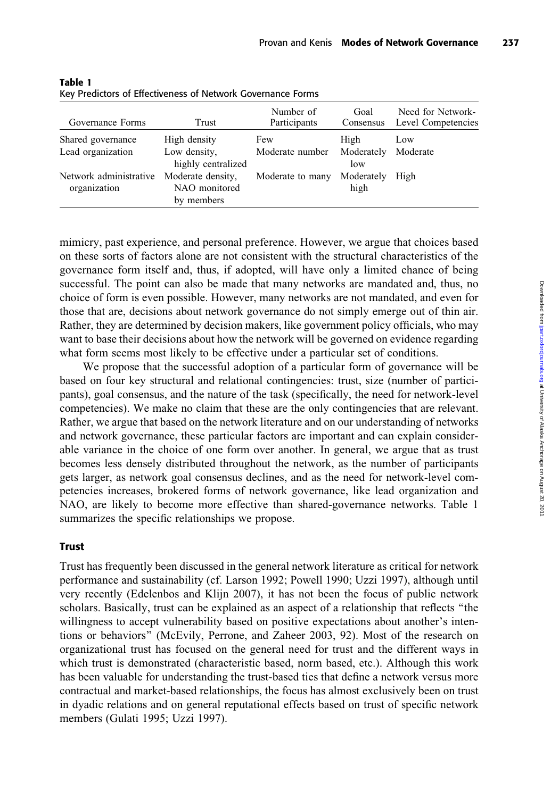| Governance Forms                       | Trust                                            | Number of<br>Participants | Goal<br>Consensus  | Need for Network-<br>Level Competencies |
|----------------------------------------|--------------------------------------------------|---------------------------|--------------------|-----------------------------------------|
| Shared governance                      | High density                                     | Few                       | High               | Low                                     |
| Lead organization                      | Low density,<br>highly centralized               | Moderate number           | Moderately<br>low  | Moderate                                |
| Network administrative<br>organization | Moderate density,<br>NAO monitored<br>by members | Moderate to many          | Moderately<br>high | High                                    |

Table 1 Key Predictors of Effectiveness of Network Governance Forms

mimicry, past experience, and personal preference. However, we argue that choices based on these sorts of factors alone are not consistent with the structural characteristics of the governance form itself and, thus, if adopted, will have only a limited chance of being successful. The point can also be made that many networks are mandated and, thus, no choice of form is even possible. However, many networks are not mandated, and even for those that are, decisions about network governance do not simply emerge out of thin air. Rather, they are determined by decision makers, like government policy officials, who may want to base their decisions about how the network will be governed on evidence regarding what form seems most likely to be effective under a particular set of conditions.

We propose that the successful adoption of a particular form of governance will be based on four key structural and relational contingencies: trust, size (number of participants), goal consensus, and the nature of the task (specifically, the need for network-level competencies). We make no claim that these are the only contingencies that are relevant. Rather, we argue that based on the network literature and on our understanding of networks and network governance, these particular factors are important and can explain considerable variance in the choice of one form over another. In general, we argue that as trust becomes less densely distributed throughout the network, as the number of participants gets larger, as network goal consensus declines, and as the need for network-level competencies increases, brokered forms of network governance, like lead organization and NAO, are likely to become more effective than shared-governance networks. Table 1 summarizes the specific relationships we propose.

## Trust

Trust has frequently been discussed in the general network literature as critical for network performance and sustainability (cf. Larson 1992; Powell 1990; Uzzi 1997), although until very recently (Edelenbos and Klijn 2007), it has not been the focus of public network scholars. Basically, trust can be explained as an aspect of a relationship that reflects ''the willingness to accept vulnerability based on positive expectations about another's intentions or behaviors'' (McEvily, Perrone, and Zaheer 2003, 92). Most of the research on organizational trust has focused on the general need for trust and the different ways in which trust is demonstrated (characteristic based, norm based, etc.). Although this work has been valuable for understanding the trust-based ties that define a network versus more contractual and market-based relationships, the focus has almost exclusively been on trust in dyadic relations and on general reputational effects based on trust of specific network members (Gulati 1995; Uzzi 1997).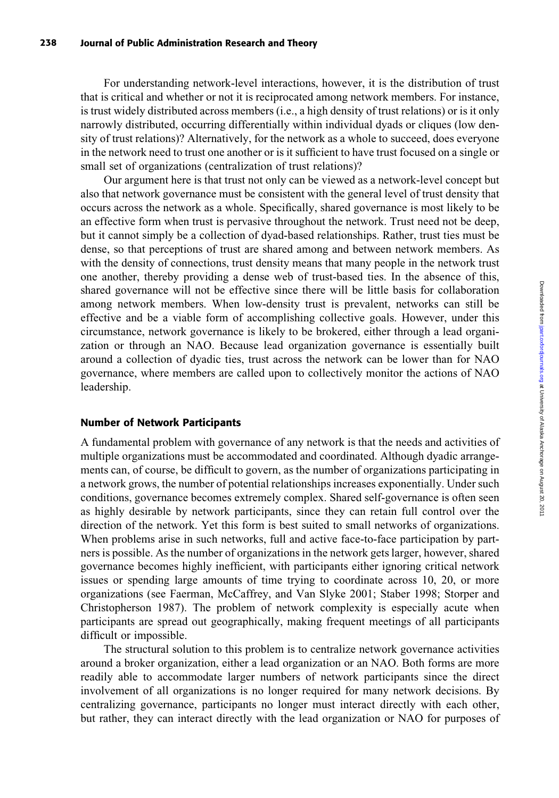For understanding network-level interactions, however, it is the distribution of trust that is critical and whether or not it is reciprocated among network members. For instance, is trust widely distributed across members (i.e., a high density of trust relations) or is it only narrowly distributed, occurring differentially within individual dyads or cliques (low density of trust relations)? Alternatively, for the network as a whole to succeed, does everyone in the network need to trust one another or is it sufficient to have trust focused on a single or small set of organizations (centralization of trust relations)?

Our argument here is that trust not only can be viewed as a network-level concept but also that network governance must be consistent with the general level of trust density that occurs across the network as a whole. Specifically, shared governance is most likely to be an effective form when trust is pervasive throughout the network. Trust need not be deep, but it cannot simply be a collection of dyad-based relationships. Rather, trust ties must be dense, so that perceptions of trust are shared among and between network members. As with the density of connections, trust density means that many people in the network trust one another, thereby providing a dense web of trust-based ties. In the absence of this, shared governance will not be effective since there will be little basis for collaboration among network members. When low-density trust is prevalent, networks can still be effective and be a viable form of accomplishing collective goals. However, under this circumstance, network governance is likely to be brokered, either through a lead organization or through an NAO. Because lead organization governance is essentially built around a collection of dyadic ties, trust across the network can be lower than for NAO governance, where members are called upon to collectively monitor the actions of NAO leadership.

## Number of Network Participants

A fundamental problem with governance of any network is that the needs and activities of multiple organizations must be accommodated and coordinated. Although dyadic arrangements can, of course, be difficult to govern, as the number of organizations participating in a network grows, the number of potential relationships increases exponentially. Under such conditions, governance becomes extremely complex. Shared self-governance is often seen as highly desirable by network participants, since they can retain full control over the direction of the network. Yet this form is best suited to small networks of organizations. When problems arise in such networks, full and active face-to-face participation by partners is possible. As the number of organizations in the network gets larger, however, shared governance becomes highly inefficient, with participants either ignoring critical network issues or spending large amounts of time trying to coordinate across 10, 20, or more organizations (see Faerman, McCaffrey, and Van Slyke 2001; Staber 1998; Storper and Christopherson 1987). The problem of network complexity is especially acute when participants are spread out geographically, making frequent meetings of all participants difficult or impossible.

The structural solution to this problem is to centralize network governance activities around a broker organization, either a lead organization or an NAO. Both forms are more readily able to accommodate larger numbers of network participants since the direct involvement of all organizations is no longer required for many network decisions. By centralizing governance, participants no longer must interact directly with each other, but rather, they can interact directly with the lead organization or NAO for purposes of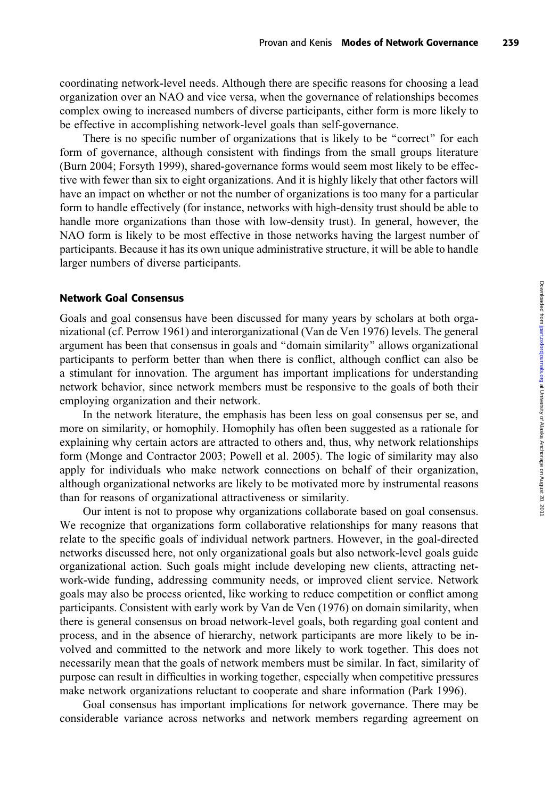coordinating network-level needs. Although there are specific reasons for choosing a lead organization over an NAO and vice versa, when the governance of relationships becomes complex owing to increased numbers of diverse participants, either form is more likely to be effective in accomplishing network-level goals than self-governance.

There is no specific number of organizations that is likely to be "correct" for each form of governance, although consistent with findings from the small groups literature (Burn 2004; Forsyth 1999), shared-governance forms would seem most likely to be effective with fewer than six to eight organizations. And it is highly likely that other factors will have an impact on whether or not the number of organizations is too many for a particular form to handle effectively (for instance, networks with high-density trust should be able to handle more organizations than those with low-density trust). In general, however, the NAO form is likely to be most effective in those networks having the largest number of participants. Because it has its own unique administrative structure, it will be able to handle larger numbers of diverse participants.

#### Network Goal Consensus

Goals and goal consensus have been discussed for many years by scholars at both organizational (cf. Perrow 1961) and interorganizational (Van de Ven 1976) levels. The general argument has been that consensus in goals and ''domain similarity'' allows organizational participants to perform better than when there is conflict, although conflict can also be a stimulant for innovation. The argument has important implications for understanding network behavior, since network members must be responsive to the goals of both their employing organization and their network.

In the network literature, the emphasis has been less on goal consensus per se, and more on similarity, or homophily. Homophily has often been suggested as a rationale for explaining why certain actors are attracted to others and, thus, why network relationships form (Monge and Contractor 2003; Powell et al. 2005). The logic of similarity may also apply for individuals who make network connections on behalf of their organization, although organizational networks are likely to be motivated more by instrumental reasons than for reasons of organizational attractiveness or similarity.

Our intent is not to propose why organizations collaborate based on goal consensus. We recognize that organizations form collaborative relationships for many reasons that relate to the specific goals of individual network partners. However, in the goal-directed networks discussed here, not only organizational goals but also network-level goals guide organizational action. Such goals might include developing new clients, attracting network-wide funding, addressing community needs, or improved client service. Network goals may also be process oriented, like working to reduce competition or conflict among participants. Consistent with early work by Van de Ven (1976) on domain similarity, when there is general consensus on broad network-level goals, both regarding goal content and process, and in the absence of hierarchy, network participants are more likely to be involved and committed to the network and more likely to work together. This does not necessarily mean that the goals of network members must be similar. In fact, similarity of purpose can result in difficulties in working together, especially when competitive pressures make network organizations reluctant to cooperate and share information (Park 1996).

Goal consensus has important implications for network governance. There may be considerable variance across networks and network members regarding agreement on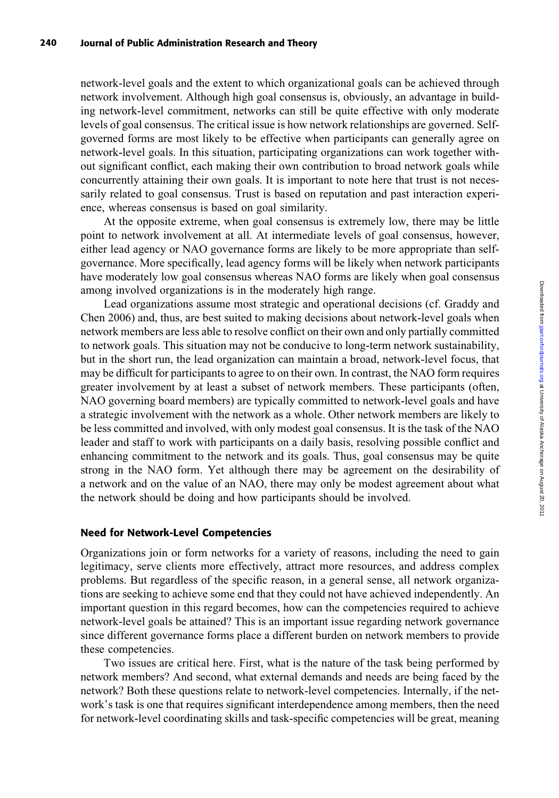network-level goals and the extent to which organizational goals can be achieved through network involvement. Although high goal consensus is, obviously, an advantage in building network-level commitment, networks can still be quite effective with only moderate levels of goal consensus. The critical issue is how network relationships are governed. Selfgoverned forms are most likely to be effective when participants can generally agree on network-level goals. In this situation, participating organizations can work together without significant conflict, each making their own contribution to broad network goals while concurrently attaining their own goals. It is important to note here that trust is not necessarily related to goal consensus. Trust is based on reputation and past interaction experience, whereas consensus is based on goal similarity.

At the opposite extreme, when goal consensus is extremely low, there may be little point to network involvement at all. At intermediate levels of goal consensus, however, either lead agency or NAO governance forms are likely to be more appropriate than selfgovernance. More specifically, lead agency forms will be likely when network participants have moderately low goal consensus whereas NAO forms are likely when goal consensus among involved organizations is in the moderately high range.

Lead organizations assume most strategic and operational decisions (cf. Graddy and Chen 2006) and, thus, are best suited to making decisions about network-level goals when network members are less able to resolve conflict on their own and only partially committed to network goals. This situation may not be conducive to long-term network sustainability, but in the short run, the lead organization can maintain a broad, network-level focus, that may be difficult for participants to agree to on their own. In contrast, the NAO form requires greater involvement by at least a subset of network members. These participants (often, NAO governing board members) are typically committed to network-level goals and have a strategic involvement with the network as a whole. Other network members are likely to be less committed and involved, with only modest goal consensus. It is the task of the NAO leader and staff to work with participants on a daily basis, resolving possible conflict and enhancing commitment to the network and its goals. Thus, goal consensus may be quite strong in the NAO form. Yet although there may be agreement on the desirability of a network and on the value of an NAO, there may only be modest agreement about what the network should be doing and how participants should be involved.

## Need for Network-Level Competencies

Organizations join or form networks for a variety of reasons, including the need to gain legitimacy, serve clients more effectively, attract more resources, and address complex problems. But regardless of the specific reason, in a general sense, all network organizations are seeking to achieve some end that they could not have achieved independently. An important question in this regard becomes, how can the competencies required to achieve network-level goals be attained? This is an important issue regarding network governance since different governance forms place a different burden on network members to provide these competencies.

Two issues are critical here. First, what is the nature of the task being performed by network members? And second, what external demands and needs are being faced by the network? Both these questions relate to network-level competencies. Internally, if the network's task is one that requires significant interdependence among members, then the need for network-level coordinating skills and task-specific competencies will be great, meaning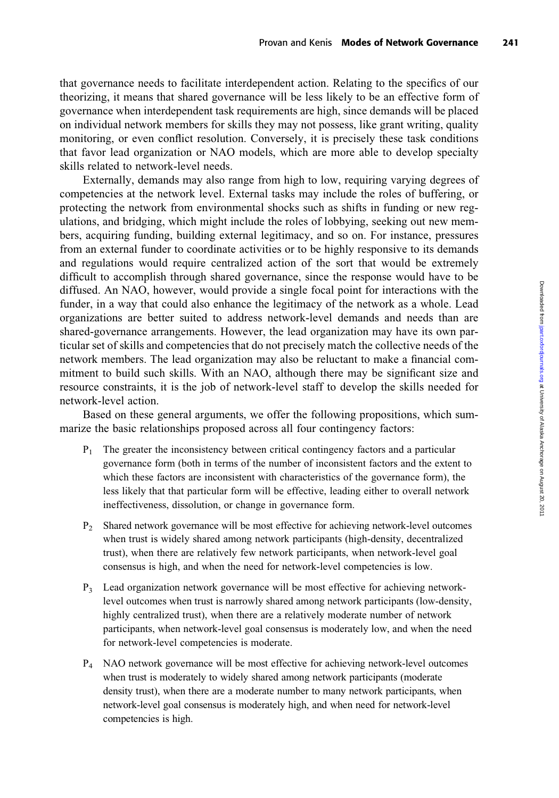that governance needs to facilitate interdependent action. Relating to the specifics of our theorizing, it means that shared governance will be less likely to be an effective form of governance when interdependent task requirements are high, since demands will be placed on individual network members for skills they may not possess, like grant writing, quality monitoring, or even conflict resolution. Conversely, it is precisely these task conditions that favor lead organization or NAO models, which are more able to develop specialty skills related to network-level needs.

Externally, demands may also range from high to low, requiring varying degrees of competencies at the network level. External tasks may include the roles of buffering, or protecting the network from environmental shocks such as shifts in funding or new regulations, and bridging, which might include the roles of lobbying, seeking out new members, acquiring funding, building external legitimacy, and so on. For instance, pressures from an external funder to coordinate activities or to be highly responsive to its demands and regulations would require centralized action of the sort that would be extremely difficult to accomplish through shared governance, since the response would have to be diffused. An NAO, however, would provide a single focal point for interactions with the funder, in a way that could also enhance the legitimacy of the network as a whole. Lead organizations are better suited to address network-level demands and needs than are shared-governance arrangements. However, the lead organization may have its own particular set of skills and competencies that do not precisely match the collective needs of the network members. The lead organization may also be reluctant to make a financial commitment to build such skills. With an NAO, although there may be significant size and resource constraints, it is the job of network-level staff to develop the skills needed for network-level action.

Based on these general arguments, we offer the following propositions, which summarize the basic relationships proposed across all four contingency factors:

- $P_1$  The greater the inconsistency between critical contingency factors and a particular governance form (both in terms of the number of inconsistent factors and the extent to which these factors are inconsistent with characteristics of the governance form), the less likely that that particular form will be effective, leading either to overall network ineffectiveness, dissolution, or change in governance form.
- $P<sub>2</sub>$  Shared network governance will be most effective for achieving network-level outcomes when trust is widely shared among network participants (high-density, decentralized trust), when there are relatively few network participants, when network-level goal consensus is high, and when the need for network-level competencies is low.
- $P_3$  Lead organization network governance will be most effective for achieving networklevel outcomes when trust is narrowly shared among network participants (low-density, highly centralized trust), when there are a relatively moderate number of network participants, when network-level goal consensus is moderately low, and when the need for network-level competencies is moderate.
- P4 NAO network governance will be most effective for achieving network-level outcomes when trust is moderately to widely shared among network participants (moderate density trust), when there are a moderate number to many network participants, when network-level goal consensus is moderately high, and when need for network-level competencies is high.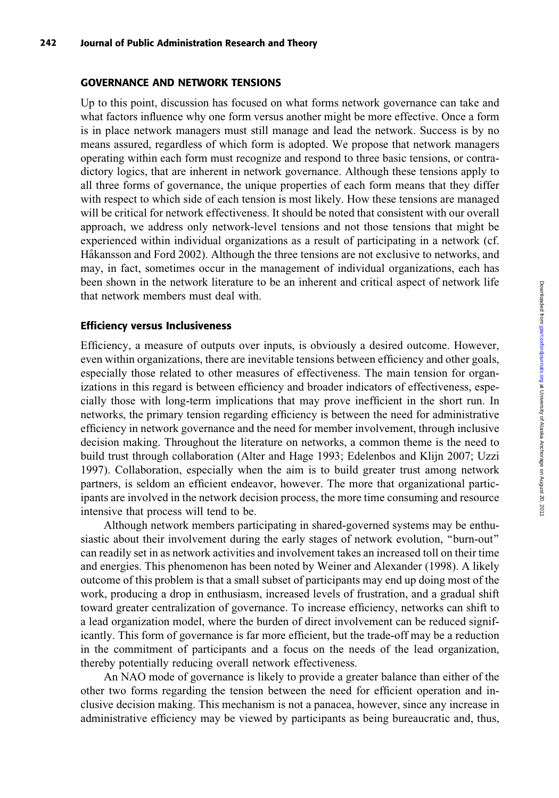## GOVERNANCE AND NETWORK TENSIONS

Up to this point, discussion has focused on what forms network governance can take and what factors influence why one form versus another might be more effective. Once a form is in place network managers must still manage and lead the network. Success is by no means assured, regardless of which form is adopted. We propose that network managers operating within each form must recognize and respond to three basic tensions, or contradictory logics, that are inherent in network governance. Although these tensions apply to all three forms of governance, the unique properties of each form means that they differ with respect to which side of each tension is most likely. How these tensions are managed will be critical for network effectiveness. It should be noted that consistent with our overall approach, we address only network-level tensions and not those tensions that might be experienced within individual organizations as a result of participating in a network (cf. Håkansson and Ford 2002). Although the three tensions are not exclusive to networks, and may, in fact, sometimes occur in the management of individual organizations, each has been shown in the network literature to be an inherent and critical aspect of network life that network members must deal with.

## Efficiency versus Inclusiveness

Efficiency, a measure of outputs over inputs, is obviously a desired outcome. However, even within organizations, there are inevitable tensions between efficiency and other goals, especially those related to other measures of effectiveness. The main tension for organizations in this regard is between efficiency and broader indicators of effectiveness, especially those with long-term implications that may prove inefficient in the short run. In networks, the primary tension regarding efficiency is between the need for administrative efficiency in network governance and the need for member involvement, through inclusive decision making. Throughout the literature on networks, a common theme is the need to build trust through collaboration (Alter and Hage 1993; Edelenbos and Klijn 2007; Uzzi 1997). Collaboration, especially when the aim is to build greater trust among network partners, is seldom an efficient endeavor, however. The more that organizational participants are involved in the network decision process, the more time consuming and resource intensive that process will tend to be.

Although network members participating in shared-governed systems may be enthusiastic about their involvement during the early stages of network evolution, ''burn-out'' can readily set in as network activities and involvement takes an increased toll on their time and energies. This phenomenon has been noted by Weiner and Alexander (1998). A likely outcome of this problem is that a small subset of participants may end up doing most of the work, producing a drop in enthusiasm, increased levels of frustration, and a gradual shift toward greater centralization of governance. To increase efficiency, networks can shift to a lead organization model, where the burden of direct involvement can be reduced significantly. This form of governance is far more efficient, but the trade-off may be a reduction in the commitment of participants and a focus on the needs of the lead organization, thereby potentially reducing overall network effectiveness.

An NAO mode of governance is likely to provide a greater balance than either of the other two forms regarding the tension between the need for efficient operation and inclusive decision making. This mechanism is not a panacea, however, since any increase in administrative efficiency may be viewed by participants as being bureaucratic and, thus,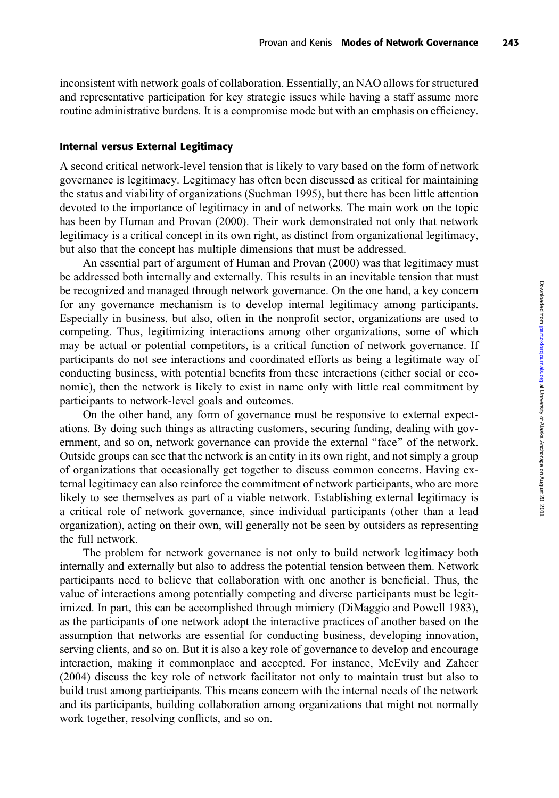inconsistent with network goals of collaboration. Essentially, an NAO allows for structured and representative participation for key strategic issues while having a staff assume more routine administrative burdens. It is a compromise mode but with an emphasis on efficiency.

#### Internal versus External Legitimacy

A second critical network-level tension that is likely to vary based on the form of network governance is legitimacy. Legitimacy has often been discussed as critical for maintaining the status and viability of organizations (Suchman 1995), but there has been little attention devoted to the importance of legitimacy in and of networks. The main work on the topic has been by Human and Provan (2000). Their work demonstrated not only that network legitimacy is a critical concept in its own right, as distinct from organizational legitimacy, but also that the concept has multiple dimensions that must be addressed.

An essential part of argument of Human and Provan (2000) was that legitimacy must be addressed both internally and externally. This results in an inevitable tension that must be recognized and managed through network governance. On the one hand, a key concern for any governance mechanism is to develop internal legitimacy among participants. Especially in business, but also, often in the nonprofit sector, organizations are used to competing. Thus, legitimizing interactions among other organizations, some of which may be actual or potential competitors, is a critical function of network governance. If participants do not see interactions and coordinated efforts as being a legitimate way of conducting business, with potential benefits from these interactions (either social or economic), then the network is likely to exist in name only with little real commitment by participants to network-level goals and outcomes.

On the other hand, any form of governance must be responsive to external expectations. By doing such things as attracting customers, securing funding, dealing with government, and so on, network governance can provide the external "face" of the network. Outside groups can see that the network is an entity in its own right, and not simply a group of organizations that occasionally get together to discuss common concerns. Having external legitimacy can also reinforce the commitment of network participants, who are more likely to see themselves as part of a viable network. Establishing external legitimacy is a critical role of network governance, since individual participants (other than a lead organization), acting on their own, will generally not be seen by outsiders as representing the full network.

The problem for network governance is not only to build network legitimacy both internally and externally but also to address the potential tension between them. Network participants need to believe that collaboration with one another is beneficial. Thus, the value of interactions among potentially competing and diverse participants must be legitimized. In part, this can be accomplished through mimicry (DiMaggio and Powell 1983), as the participants of one network adopt the interactive practices of another based on the assumption that networks are essential for conducting business, developing innovation, serving clients, and so on. But it is also a key role of governance to develop and encourage interaction, making it commonplace and accepted. For instance, McEvily and Zaheer (2004) discuss the key role of network facilitator not only to maintain trust but also to build trust among participants. This means concern with the internal needs of the network and its participants, building collaboration among organizations that might not normally work together, resolving conflicts, and so on.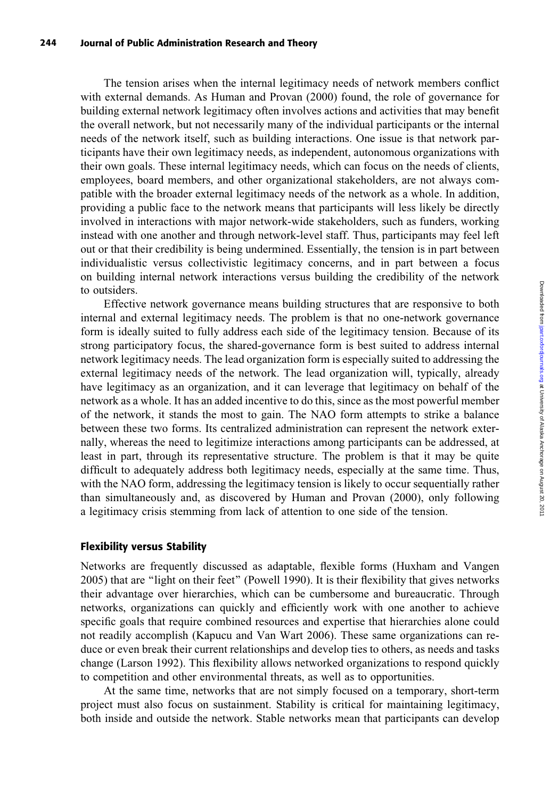The tension arises when the internal legitimacy needs of network members conflict with external demands. As Human and Provan (2000) found, the role of governance for building external network legitimacy often involves actions and activities that may benefit the overall network, but not necessarily many of the individual participants or the internal needs of the network itself, such as building interactions. One issue is that network participants have their own legitimacy needs, as independent, autonomous organizations with their own goals. These internal legitimacy needs, which can focus on the needs of clients, employees, board members, and other organizational stakeholders, are not always compatible with the broader external legitimacy needs of the network as a whole. In addition, providing a public face to the network means that participants will less likely be directly involved in interactions with major network-wide stakeholders, such as funders, working instead with one another and through network-level staff. Thus, participants may feel left out or that their credibility is being undermined. Essentially, the tension is in part between individualistic versus collectivistic legitimacy concerns, and in part between a focus on building internal network interactions versus building the credibility of the network to outsiders.

Effective network governance means building structures that are responsive to both internal and external legitimacy needs. The problem is that no one-network governance form is ideally suited to fully address each side of the legitimacy tension. Because of its strong participatory focus, the shared-governance form is best suited to address internal network legitimacy needs. The lead organization form is especially suited to addressing the external legitimacy needs of the network. The lead organization will, typically, already have legitimacy as an organization, and it can leverage that legitimacy on behalf of the network as a whole. It has an added incentive to do this, since as the most powerful member of the network, it stands the most to gain. The NAO form attempts to strike a balance between these two forms. Its centralized administration can represent the network externally, whereas the need to legitimize interactions among participants can be addressed, at least in part, through its representative structure. The problem is that it may be quite difficult to adequately address both legitimacy needs, especially at the same time. Thus, with the NAO form, addressing the legitimacy tension is likely to occur sequentially rather than simultaneously and, as discovered by Human and Provan (2000), only following a legitimacy crisis stemming from lack of attention to one side of the tension.

## Flexibility versus Stability

Networks are frequently discussed as adaptable, flexible forms (Huxham and Vangen 2005) that are ''light on their feet'' (Powell 1990). It is their flexibility that gives networks their advantage over hierarchies, which can be cumbersome and bureaucratic. Through networks, organizations can quickly and efficiently work with one another to achieve specific goals that require combined resources and expertise that hierarchies alone could not readily accomplish (Kapucu and Van Wart 2006). These same organizations can reduce or even break their current relationships and develop ties to others, as needs and tasks change (Larson 1992). This flexibility allows networked organizations to respond quickly to competition and other environmental threats, as well as to opportunities.

At the same time, networks that are not simply focused on a temporary, short-term project must also focus on sustainment. Stability is critical for maintaining legitimacy, both inside and outside the network. Stable networks mean that participants can develop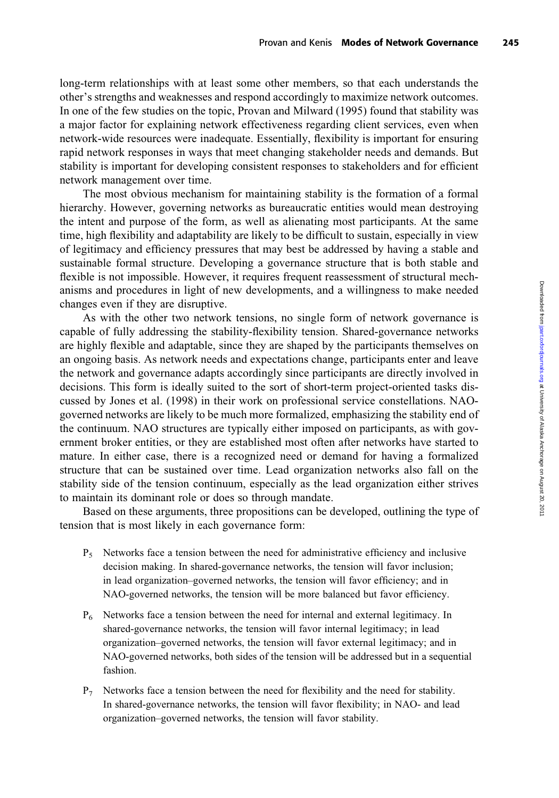long-term relationships with at least some other members, so that each understands the other's strengths and weaknesses and respond accordingly to maximize network outcomes. In one of the few studies on the topic, Provan and Milward (1995) found that stability was a major factor for explaining network effectiveness regarding client services, even when network-wide resources were inadequate. Essentially, flexibility is important for ensuring rapid network responses in ways that meet changing stakeholder needs and demands. But stability is important for developing consistent responses to stakeholders and for efficient network management over time.

The most obvious mechanism for maintaining stability is the formation of a formal hierarchy. However, governing networks as bureaucratic entities would mean destroying the intent and purpose of the form, as well as alienating most participants. At the same time, high flexibility and adaptability are likely to be difficult to sustain, especially in view of legitimacy and efficiency pressures that may best be addressed by having a stable and sustainable formal structure. Developing a governance structure that is both stable and flexible is not impossible. However, it requires frequent reassessment of structural mechanisms and procedures in light of new developments, and a willingness to make needed changes even if they are disruptive.

As with the other two network tensions, no single form of network governance is capable of fully addressing the stability-flexibility tension. Shared-governance networks are highly flexible and adaptable, since they are shaped by the participants themselves on an ongoing basis. As network needs and expectations change, participants enter and leave the network and governance adapts accordingly since participants are directly involved in decisions. This form is ideally suited to the sort of short-term project-oriented tasks discussed by Jones et al. (1998) in their work on professional service constellations. NAOgoverned networks are likely to be much more formalized, emphasizing the stability end of the continuum. NAO structures are typically either imposed on participants, as with government broker entities, or they are established most often after networks have started to mature. In either case, there is a recognized need or demand for having a formalized structure that can be sustained over time. Lead organization networks also fall on the stability side of the tension continuum, especially as the lead organization either strives to maintain its dominant role or does so through mandate.

Based on these arguments, three propositions can be developed, outlining the type of tension that is most likely in each governance form:

- $P_5$  Networks face a tension between the need for administrative efficiency and inclusive decision making. In shared-governance networks, the tension will favor inclusion; in lead organization–governed networks, the tension will favor efficiency; and in NAO-governed networks, the tension will be more balanced but favor efficiency.
- $P_6$  Networks face a tension between the need for internal and external legitimacy. In shared-governance networks, the tension will favor internal legitimacy; in lead organization–governed networks, the tension will favor external legitimacy; and in NAO-governed networks, both sides of the tension will be addressed but in a sequential fashion.
- $P_7$  Networks face a tension between the need for flexibility and the need for stability. In shared-governance networks, the tension will favor flexibility; in NAO- and lead organization–governed networks, the tension will favor stability.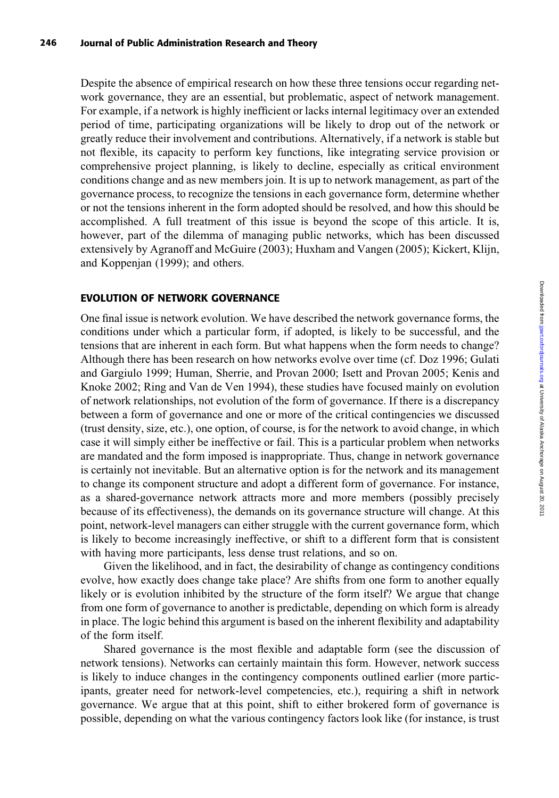Despite the absence of empirical research on how these three tensions occur regarding network governance, they are an essential, but problematic, aspect of network management. For example, if a network is highly inefficient or lacks internal legitimacy over an extended period of time, participating organizations will be likely to drop out of the network or greatly reduce their involvement and contributions. Alternatively, if a network is stable but not flexible, its capacity to perform key functions, like integrating service provision or comprehensive project planning, is likely to decline, especially as critical environment conditions change and as new members join. It is up to network management, as part of the governance process, to recognize the tensions in each governance form, determine whether or not the tensions inherent in the form adopted should be resolved, and how this should be accomplished. A full treatment of this issue is beyond the scope of this article. It is, however, part of the dilemma of managing public networks, which has been discussed extensively by Agranoff and McGuire (2003); Huxham and Vangen (2005); Kickert, Klijn, and Koppenjan (1999); and others.

# EVOLUTION OF NETWORK GOVERNANCE

One final issue is network evolution. We have described the network governance forms, the conditions under which a particular form, if adopted, is likely to be successful, and the tensions that are inherent in each form. But what happens when the form needs to change? Although there has been research on how networks evolve over time (cf. Doz 1996; Gulati and Gargiulo 1999; Human, Sherrie, and Provan 2000; Isett and Provan 2005; Kenis and Knoke 2002; Ring and Van de Ven 1994), these studies have focused mainly on evolution of network relationships, not evolution of the form of governance. If there is a discrepancy between a form of governance and one or more of the critical contingencies we discussed (trust density, size, etc.), one option, of course, is for the network to avoid change, in which case it will simply either be ineffective or fail. This is a particular problem when networks are mandated and the form imposed is inappropriate. Thus, change in network governance is certainly not inevitable. But an alternative option is for the network and its management to change its component structure and adopt a different form of governance. For instance, as a shared-governance network attracts more and more members (possibly precisely because of its effectiveness), the demands on its governance structure will change. At this point, network-level managers can either struggle with the current governance form, which is likely to become increasingly ineffective, or shift to a different form that is consistent with having more participants, less dense trust relations, and so on.

Given the likelihood, and in fact, the desirability of change as contingency conditions evolve, how exactly does change take place? Are shifts from one form to another equally likely or is evolution inhibited by the structure of the form itself? We argue that change from one form of governance to another is predictable, depending on which form is already in place. The logic behind this argument is based on the inherent flexibility and adaptability of the form itself.

Shared governance is the most flexible and adaptable form (see the discussion of network tensions). Networks can certainly maintain this form. However, network success is likely to induce changes in the contingency components outlined earlier (more participants, greater need for network-level competencies, etc.), requiring a shift in network governance. We argue that at this point, shift to either brokered form of governance is possible, depending on what the various contingency factors look like (for instance, is trust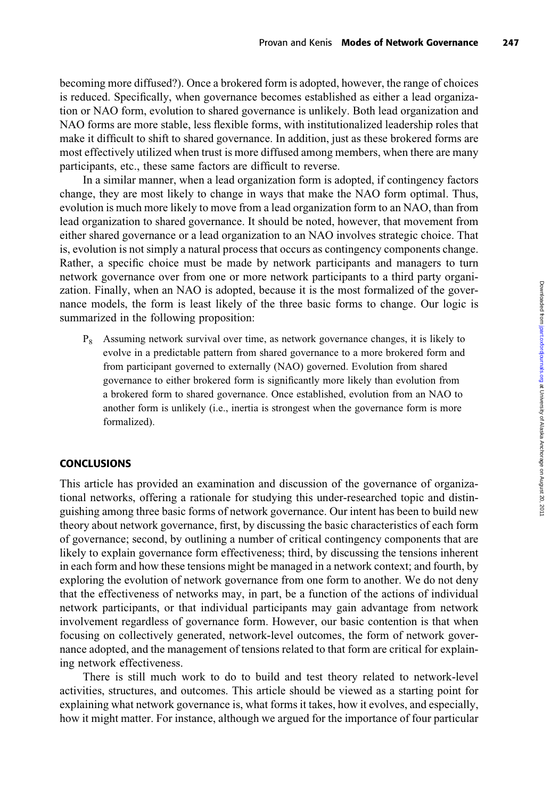becoming more diffused?). Once a brokered form is adopted, however, the range of choices is reduced. Specifically, when governance becomes established as either a lead organization or NAO form, evolution to shared governance is unlikely. Both lead organization and NAO forms are more stable, less flexible forms, with institutionalized leadership roles that make it difficult to shift to shared governance. In addition, just as these brokered forms are most effectively utilized when trust is more diffused among members, when there are many participants, etc., these same factors are difficult to reverse.

In a similar manner, when a lead organization form is adopted, if contingency factors change, they are most likely to change in ways that make the NAO form optimal. Thus, evolution is much more likely to move from a lead organization form to an NAO, than from lead organization to shared governance. It should be noted, however, that movement from either shared governance or a lead organization to an NAO involves strategic choice. That is, evolution is not simply a natural process that occurs as contingency components change. Rather, a specific choice must be made by network participants and managers to turn network governance over from one or more network participants to a third party organization. Finally, when an NAO is adopted, because it is the most formalized of the governance models, the form is least likely of the three basic forms to change. Our logic is summarized in the following proposition:

 $P_8$  Assuming network survival over time, as network governance changes, it is likely to evolve in a predictable pattern from shared governance to a more brokered form and from participant governed to externally (NAO) governed. Evolution from shared governance to either brokered form is significantly more likely than evolution from a brokered form to shared governance. Once established, evolution from an NAO to another form is unlikely (i.e., inertia is strongest when the governance form is more formalized).

# **CONCLUSIONS**

This article has provided an examination and discussion of the governance of organizational networks, offering a rationale for studying this under-researched topic and distinguishing among three basic forms of network governance. Our intent has been to build new theory about network governance, first, by discussing the basic characteristics of each form of governance; second, by outlining a number of critical contingency components that are likely to explain governance form effectiveness; third, by discussing the tensions inherent in each form and how these tensions might be managed in a network context; and fourth, by exploring the evolution of network governance from one form to another. We do not deny that the effectiveness of networks may, in part, be a function of the actions of individual network participants, or that individual participants may gain advantage from network involvement regardless of governance form. However, our basic contention is that when focusing on collectively generated, network-level outcomes, the form of network governance adopted, and the management of tensions related to that form are critical for explaining network effectiveness.

There is still much work to do to build and test theory related to network-level activities, structures, and outcomes. This article should be viewed as a starting point for explaining what network governance is, what forms it takes, how it evolves, and especially, how it might matter. For instance, although we argued for the importance of four particular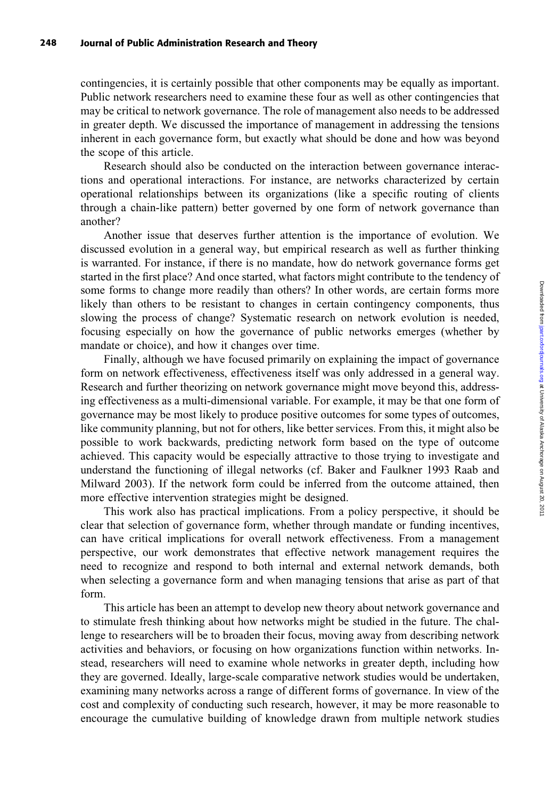contingencies, it is certainly possible that other components may be equally as important. Public network researchers need to examine these four as well as other contingencies that may be critical to network governance. The role of management also needs to be addressed in greater depth. We discussed the importance of management in addressing the tensions inherent in each governance form, but exactly what should be done and how was beyond the scope of this article.

Research should also be conducted on the interaction between governance interactions and operational interactions. For instance, are networks characterized by certain operational relationships between its organizations (like a specific routing of clients through a chain-like pattern) better governed by one form of network governance than another?

Another issue that deserves further attention is the importance of evolution. We discussed evolution in a general way, but empirical research as well as further thinking is warranted. For instance, if there is no mandate, how do network governance forms get started in the first place? And once started, what factors might contribute to the tendency of some forms to change more readily than others? In other words, are certain forms more likely than others to be resistant to changes in certain contingency components, thus slowing the process of change? Systematic research on network evolution is needed, focusing especially on how the governance of public networks emerges (whether by mandate or choice), and how it changes over time.

Finally, although we have focused primarily on explaining the impact of governance form on network effectiveness, effectiveness itself was only addressed in a general way. Research and further theorizing on network governance might move beyond this, addressing effectiveness as a multi-dimensional variable. For example, it may be that one form of governance may be most likely to produce positive outcomes for some types of outcomes, like community planning, but not for others, like better services. From this, it might also be possible to work backwards, predicting network form based on the type of outcome achieved. This capacity would be especially attractive to those trying to investigate and understand the functioning of illegal networks (cf. Baker and Faulkner 1993 Raab and Milward 2003). If the network form could be inferred from the outcome attained, then more effective intervention strategies might be designed.

This work also has practical implications. From a policy perspective, it should be clear that selection of governance form, whether through mandate or funding incentives, can have critical implications for overall network effectiveness. From a management perspective, our work demonstrates that effective network management requires the need to recognize and respond to both internal and external network demands, both when selecting a governance form and when managing tensions that arise as part of that form.

This article has been an attempt to develop new theory about network governance and to stimulate fresh thinking about how networks might be studied in the future. The challenge to researchers will be to broaden their focus, moving away from describing network activities and behaviors, or focusing on how organizations function within networks. Instead, researchers will need to examine whole networks in greater depth, including how they are governed. Ideally, large-scale comparative network studies would be undertaken, examining many networks across a range of different forms of governance. In view of the cost and complexity of conducting such research, however, it may be more reasonable to encourage the cumulative building of knowledge drawn from multiple network studies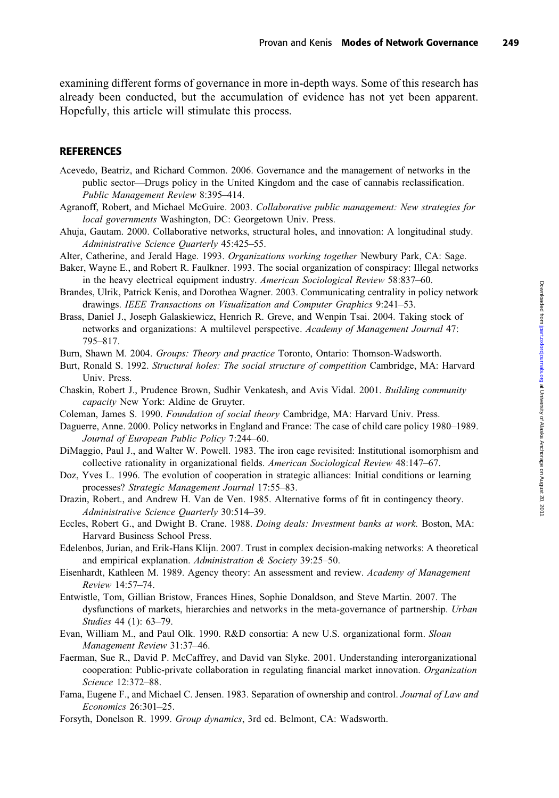examining different forms of governance in more in-depth ways. Some of this research has already been conducted, but the accumulation of evidence has not yet been apparent. Hopefully, this article will stimulate this process.

#### REFERENCES

- Acevedo, Beatriz, and Richard Common. 2006. Governance and the management of networks in the public sector—Drugs policy in the United Kingdom and the case of cannabis reclassification. Public Management Review 8:395–414.
- Agranoff, Robert, and Michael McGuire. 2003. Collaborative public management: New strategies for local governments Washington, DC: Georgetown Univ. Press.
- Ahuja, Gautam. 2000. Collaborative networks, structural holes, and innovation: A longitudinal study. Administrative Science Quarterly 45:425–55.
- Alter, Catherine, and Jerald Hage. 1993. Organizations working together Newbury Park, CA: Sage.
- Baker, Wayne E., and Robert R. Faulkner. 1993. The social organization of conspiracy: Illegal networks in the heavy electrical equipment industry. American Sociological Review 58:837–60.
- Brandes, Ulrik, Patrick Kenis, and Dorothea Wagner. 2003. Communicating centrality in policy network drawings. IEEE Transactions on Visualization and Computer Graphics 9:241–53.
- Brass, Daniel J., Joseph Galaskiewicz, Henrich R. Greve, and Wenpin Tsai. 2004. Taking stock of networks and organizations: A multilevel perspective. Academy of Management Journal 47: 795–817.
- Burn, Shawn M. 2004. Groups: Theory and practice Toronto, Ontario: Thomson-Wadsworth.
- Burt, Ronald S. 1992. Structural holes: The social structure of competition Cambridge, MA: Harvard Univ. Press.
- Chaskin, Robert J., Prudence Brown, Sudhir Venkatesh, and Avis Vidal. 2001. Building community capacity New York: Aldine de Gruyter.
- Coleman, James S. 1990. Foundation of social theory Cambridge, MA: Harvard Univ. Press.
- Daguerre, Anne. 2000. Policy networks in England and France: The case of child care policy 1980–1989. Journal of European Public Policy 7:244–60.
- DiMaggio, Paul J., and Walter W. Powell. 1983. The iron cage revisited: Institutional isomorphism and collective rationality in organizational fields. American Sociological Review 48:147–67.
- Doz, Yves L. 1996. The evolution of cooperation in strategic alliances: Initial conditions or learning processes? Strategic Management Journal 17:55–83.
- Drazin, Robert., and Andrew H. Van de Ven. 1985. Alternative forms of fit in contingency theory. Administrative Science Quarterly 30:514–39.
- Eccles, Robert G., and Dwight B. Crane. 1988. Doing deals: Investment banks at work. Boston, MA: Harvard Business School Press.
- Edelenbos, Jurian, and Erik-Hans Klijn. 2007. Trust in complex decision-making networks: A theoretical and empirical explanation. Administration & Society 39:25–50.
- Eisenhardt, Kathleen M. 1989. Agency theory: An assessment and review. Academy of Management Review 14:57–74.
- Entwistle, Tom, Gillian Bristow, Frances Hines, Sophie Donaldson, and Steve Martin. 2007. The dysfunctions of markets, hierarchies and networks in the meta-governance of partnership. Urban Studies 44 (1): 63–79.
- Evan, William M., and Paul Olk. 1990. R&D consortia: A new U.S. organizational form. Sloan Management Review 31:37–46.
- Faerman, Sue R., David P. McCaffrey, and David van Slyke. 2001. Understanding interorganizational cooperation: Public-private collaboration in regulating financial market innovation. Organization Science 12:372–88.
- Fama, Eugene F., and Michael C. Jensen. 1983. Separation of ownership and control. Journal of Law and Economics 26:301–25.
- Forsyth, Donelson R. 1999. Group dynamics, 3rd ed. Belmont, CA: Wadsworth.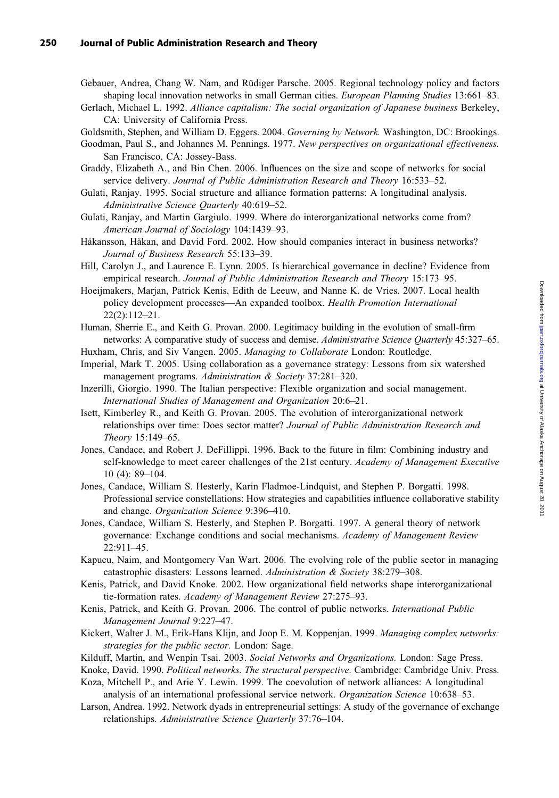#### 250 Journal of Public Administration Research and Theory

- Gebauer, Andrea, Chang W. Nam, and Rüdiger Parsche. 2005. Regional technology policy and factors shaping local innovation networks in small German cities. *European Planning Studies* 13:661–83.
- Gerlach, Michael L. 1992. Alliance capitalism: The social organization of Japanese business Berkeley, CA: University of California Press.
- Goldsmith, Stephen, and William D. Eggers. 2004. Governing by Network. Washington, DC: Brookings.
- Goodman, Paul S., and Johannes M. Pennings. 1977. New perspectives on organizational effectiveness. San Francisco, CA: Jossey-Bass.
- Graddy, Elizabeth A., and Bin Chen. 2006. Influences on the size and scope of networks for social service delivery. Journal of Public Administration Research and Theory 16:533-52.
- Gulati, Ranjay. 1995. Social structure and alliance formation patterns: A longitudinal analysis. Administrative Science Quarterly 40:619–52.
- Gulati, Ranjay, and Martin Gargiulo. 1999. Where do interorganizational networks come from? American Journal of Sociology 104:1439–93.
- Håkansson, Håkan, and David Ford. 2002. How should companies interact in business networks? Journal of Business Research 55:133–39.
- Hill, Carolyn J., and Laurence E. Lynn. 2005. Is hierarchical governance in decline? Evidence from empirical research. Journal of Public Administration Research and Theory 15:173–95.
- Hoeijmakers, Marjan, Patrick Kenis, Edith de Leeuw, and Nanne K. de Vries. 2007. Local health policy development processes—An expanded toolbox. Health Promotion International 22(2):112–21.
- Human, Sherrie E., and Keith G. Provan. 2000. Legitimacy building in the evolution of small-firm networks: A comparative study of success and demise. Administrative Science Quarterly 45:327–65.

Huxham, Chris, and Siv Vangen. 2005. Managing to Collaborate London: Routledge.

- Imperial, Mark T. 2005. Using collaboration as a governance strategy: Lessons from six watershed management programs. Administration & Society 37:281–320.
- Inzerilli, Giorgio. 1990. The Italian perspective: Flexible organization and social management. International Studies of Management and Organization 20:6–21.
- Isett, Kimberley R., and Keith G. Provan. 2005. The evolution of interorganizational network relationships over time: Does sector matter? Journal of Public Administration Research and Theory 15:149–65.
- Jones, Candace, and Robert J. DeFillippi. 1996. Back to the future in film: Combining industry and self-knowledge to meet career challenges of the 21st century. Academy of Management Executive 10 (4): 89–104.
- Jones, Candace, William S. Hesterly, Karin Fladmoe-Lindquist, and Stephen P. Borgatti. 1998. Professional service constellations: How strategies and capabilities influence collaborative stability and change. Organization Science 9:396–410.
- Jones, Candace, William S. Hesterly, and Stephen P. Borgatti. 1997. A general theory of network governance: Exchange conditions and social mechanisms. Academy of Management Review 22:911–45.
- Kapucu, Naim, and Montgomery Van Wart. 2006. The evolving role of the public sector in managing catastrophic disasters: Lessons learned. Administration & Society 38:279–308.
- Kenis, Patrick, and David Knoke. 2002. How organizational field networks shape interorganizational tie-formation rates. Academy of Management Review 27:275–93.
- Kenis, Patrick, and Keith G. Provan. 2006. The control of public networks. International Public Management Journal 9:227–47.
- Kickert, Walter J. M., Erik-Hans Klijn, and Joop E. M. Koppenjan. 1999. Managing complex networks: strategies for the public sector. London: Sage.
- Kilduff, Martin, and Wenpin Tsai. 2003. Social Networks and Organizations. London: Sage Press.
- Knoke, David. 1990. Political networks. The structural perspective. Cambridge: Cambridge Univ. Press.
- Koza, Mitchell P., and Arie Y. Lewin. 1999. The coevolution of network alliances: A longitudinal analysis of an international professional service network. Organization Science 10:638–53.
- Larson, Andrea. 1992. Network dyads in entrepreneurial settings: A study of the governance of exchange relationships. Administrative Science Quarterly 37:76–104.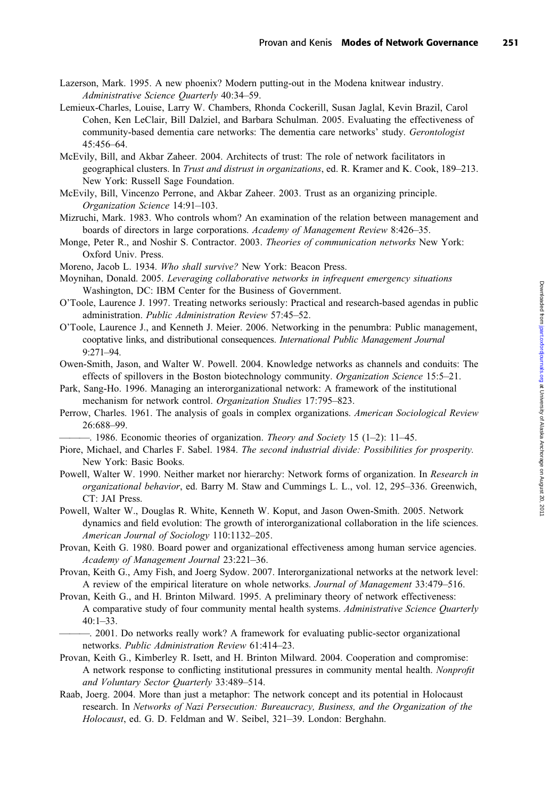- Lazerson, Mark. 1995. A new phoenix? Modern putting-out in the Modena knitwear industry. Administrative Science Quarterly 40:34–59.
- Lemieux-Charles, Louise, Larry W. Chambers, Rhonda Cockerill, Susan Jaglal, Kevin Brazil, Carol Cohen, Ken LeClair, Bill Dalziel, and Barbara Schulman. 2005. Evaluating the effectiveness of community-based dementia care networks: The dementia care networks' study. Gerontologist 45:456–64.
- McEvily, Bill, and Akbar Zaheer. 2004. Architects of trust: The role of network facilitators in geographical clusters. In Trust and distrust in organizations, ed. R. Kramer and K. Cook, 189–213. New York: Russell Sage Foundation.
- McEvily, Bill, Vincenzo Perrone, and Akbar Zaheer. 2003. Trust as an organizing principle. Organization Science 14:91–103.
- Mizruchi, Mark. 1983. Who controls whom? An examination of the relation between management and boards of directors in large corporations. Academy of Management Review 8:426–35.
- Monge, Peter R., and Noshir S. Contractor. 2003. Theories of communication networks New York: Oxford Univ. Press.
- Moreno, Jacob L. 1934. Who shall survive? New York: Beacon Press.
- Moynihan, Donald. 2005. Leveraging collaborative networks in infrequent emergency situations Washington, DC: IBM Center for the Business of Government.
- O'Toole, Laurence J. 1997. Treating networks seriously: Practical and research-based agendas in public administration. Public Administration Review 57:45–52.
- O'Toole, Laurence J., and Kenneth J. Meier. 2006. Networking in the penumbra: Public management, cooptative links, and distributional consequences. International Public Management Journal 9:271–94.
- Owen-Smith, Jason, and Walter W. Powell. 2004. Knowledge networks as channels and conduits: The effects of spillovers in the Boston biotechnology community. Organization Science 15:5–21.
- Park, Sang-Ho. 1996. Managing an interorganizational network: A framework of the institutional mechanism for network control. Organization Studies 17:795–823.
- Perrow, Charles. 1961. The analysis of goals in complex organizations. American Sociological Review 26:688–99.
	- ———. 1986. Economic theories of organization. Theory and Society 15 (1–2): 11–45.
- Piore, Michael, and Charles F. Sabel. 1984. The second industrial divide: Possibilities for prosperity. New York: Basic Books.
- Powell, Walter W. 1990. Neither market nor hierarchy: Network forms of organization. In Research in organizational behavior, ed. Barry M. Staw and Cummings L. L., vol. 12, 295–336. Greenwich, CT: JAI Press.
- Powell, Walter W., Douglas R. White, Kenneth W. Koput, and Jason Owen-Smith. 2005. Network dynamics and field evolution: The growth of interorganizational collaboration in the life sciences. American Journal of Sociology 110:1132–205.
- Provan, Keith G. 1980. Board power and organizational effectiveness among human service agencies. Academy of Management Journal 23:221–36.
- Provan, Keith G., Amy Fish, and Joerg Sydow. 2007. Interorganizational networks at the network level: A review of the empirical literature on whole networks. Journal of Management 33:479–516.
- Provan, Keith G., and H. Brinton Milward. 1995. A preliminary theory of network effectiveness: A comparative study of four community mental health systems. Administrative Science Quarterly 40:1–33.
- -. 2001. Do networks really work? A framework for evaluating public-sector organizational networks. Public Administration Review 61:414–23.
- Provan, Keith G., Kimberley R. Isett, and H. Brinton Milward. 2004. Cooperation and compromise: A network response to conflicting institutional pressures in community mental health. Nonprofit and Voluntary Sector Quarterly 33:489–514.
- Raab, Joerg. 2004. More than just a metaphor: The network concept and its potential in Holocaust research. In Networks of Nazi Persecution: Bureaucracy, Business, and the Organization of the Holocaust, ed. G. D. Feldman and W. Seibel, 321-39. London: Berghahn.